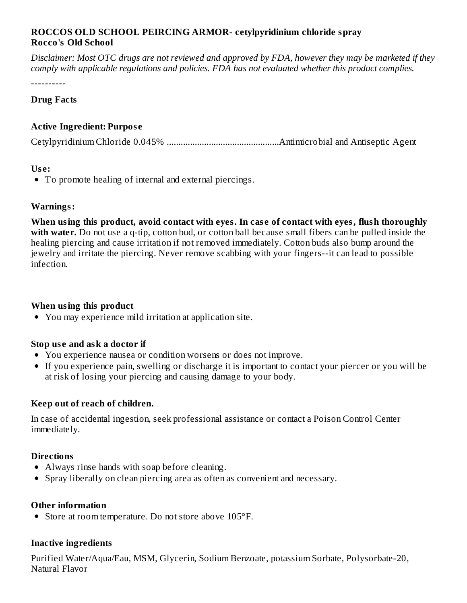## **ROCCOS OLD SCHOOL PEIRCING ARMOR- cetylpyridinium chloride spray Rocco's Old School**

Disclaimer: Most OTC drugs are not reviewed and approved by FDA, however they may be marketed if they *comply with applicable regulations and policies. FDA has not evaluated whether this product complies.*

----------

### **Drug Facts**

## **Active Ingredient: Purpos e**

Cetylpyridinium Chloride 0.045% ................................................Antimicrobial and Antiseptic Agent

#### **Us e:**

To promote healing of internal and external piercings.

#### **Warnings:**

**When using this product, avoid contact with eyes. In cas e of contact with eyes, flush thoroughly with water.** Do not use a q-tip, cotton bud, or cotton ball because small fibers can be pulled inside the healing piercing and cause irritation if not removed immediately. Cotton buds also bump around the jewelry and irritate the piercing. Never remove scabbing with your fingers--it can lead to possible infection.

## **When using this product**

You may experience mild irritation at application site.

#### **Stop us e and ask a doctor if**

- You experience nausea or condition worsens or does not improve.
- If you experience pain, swelling or discharge it is important to contact your piercer or you will be at risk of losing your piercing and causing damage to your body.

## **Keep out of reach of children.**

In case of accidental ingestion, seek professional assistance or contact a Poison Control Center immediately.

## **Directions**

- Always rinse hands with soap before cleaning.
- Spray liberally on clean piercing area as often as convenient and necessary.

#### **Other information**

• Store at room temperature. Do not store above 105°F.

#### **Inactive ingredients**

Purified Water/Aqua/Eau, MSM, Glycerin, Sodium Benzoate, potassium Sorbate, Polysorbate-20, Natural Flavor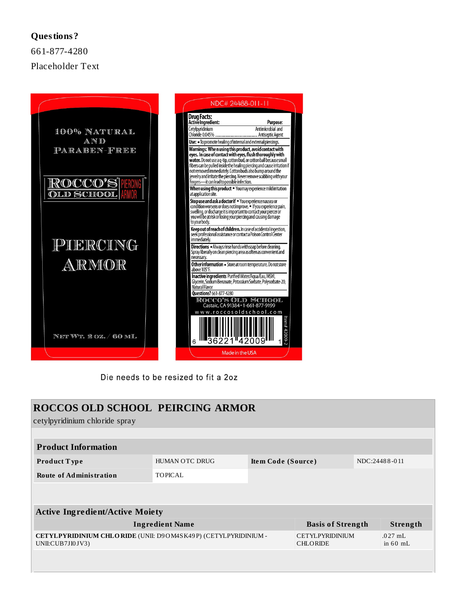### **Questions?**

661-877-4280 Placeholder Text



Die needs to be resized to fit a 2oz

| <b>ROCCOS OLD SCHOOL PEIRCING ARMOR</b><br>cetylpyridinium chloride spray                 |                |                    |                                           |               |                         |  |  |  |  |
|-------------------------------------------------------------------------------------------|----------------|--------------------|-------------------------------------------|---------------|-------------------------|--|--|--|--|
|                                                                                           |                |                    |                                           |               |                         |  |  |  |  |
| <b>Product Information</b>                                                                |                |                    |                                           |               |                         |  |  |  |  |
| <b>Product Type</b>                                                                       | HUMAN OTC DRUG | Item Code (Source) |                                           | NDC:24488-011 |                         |  |  |  |  |
| <b>Route of Administration</b>                                                            | <b>TOPICAL</b> |                    |                                           |               |                         |  |  |  |  |
|                                                                                           |                |                    |                                           |               |                         |  |  |  |  |
| <b>Active Ingredient/Active Moiety</b>                                                    |                |                    |                                           |               |                         |  |  |  |  |
| <b>Ingredient Name</b>                                                                    |                |                    | <b>Basis of Strength</b>                  |               | Strength                |  |  |  |  |
| <b>CETYLPYRIDINIUM CHLORIDE</b> (UNII: D9OM4SK49P) (CETYLPYRIDINIUM -<br>UNII:CUB7JI0JV3) |                |                    | <b>CETYLPYRIDINIUM</b><br><b>CHLORIDE</b> |               | $.027$ mL<br>in $60$ mL |  |  |  |  |
|                                                                                           |                |                    |                                           |               |                         |  |  |  |  |
|                                                                                           |                |                    |                                           |               |                         |  |  |  |  |